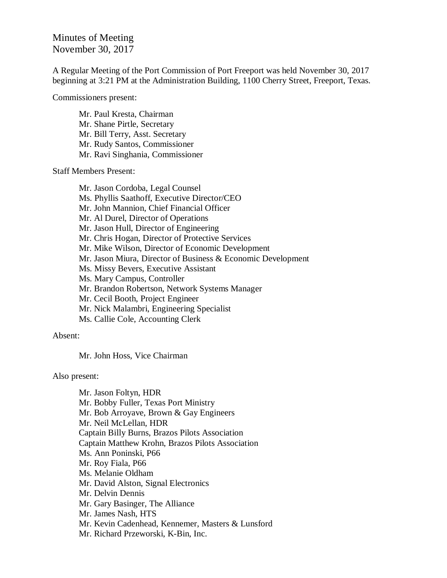Minutes of Meeting November 30, 2017

A Regular Meeting of the Port Commission of Port Freeport was held November 30, 2017 beginning at 3:21 PM at the Administration Building, 1100 Cherry Street, Freeport, Texas.

Commissioners present:

Mr. Paul Kresta, Chairman Mr. Shane Pirtle, Secretary Mr. Bill Terry, Asst. Secretary Mr. Rudy Santos, Commissioner Mr. Ravi Singhania, Commissioner

Staff Members Present:

Mr. Jason Cordoba, Legal Counsel Ms. Phyllis Saathoff, Executive Director/CEO Mr. John Mannion, Chief Financial Officer Mr. Al Durel, Director of Operations Mr. Jason Hull, Director of Engineering Mr. Chris Hogan, Director of Protective Services Mr. Mike Wilson, Director of Economic Development Mr. Jason Miura, Director of Business & Economic Development Ms. Missy Bevers, Executive Assistant Ms. Mary Campus, Controller Mr. Brandon Robertson, Network Systems Manager Mr. Cecil Booth, Project Engineer Mr. Nick Malambri, Engineering Specialist Ms. Callie Cole, Accounting Clerk

Absent:

Mr. John Hoss, Vice Chairman

Also present:

Mr. Jason Foltyn, HDR Mr. Bobby Fuller, Texas Port Ministry Mr. Bob Arroyave, Brown & Gay Engineers Mr. Neil McLellan, HDR Captain Billy Burns, Brazos Pilots Association Captain Matthew Krohn, Brazos Pilots Association Ms. Ann Poninski, P66 Mr. Roy Fiala, P66 Ms. Melanie Oldham Mr. David Alston, Signal Electronics Mr. Delvin Dennis Mr. Gary Basinger, The Alliance Mr. James Nash, HTS Mr. Kevin Cadenhead, Kennemer, Masters & Lunsford Mr. Richard Przeworski, K-Bin, Inc.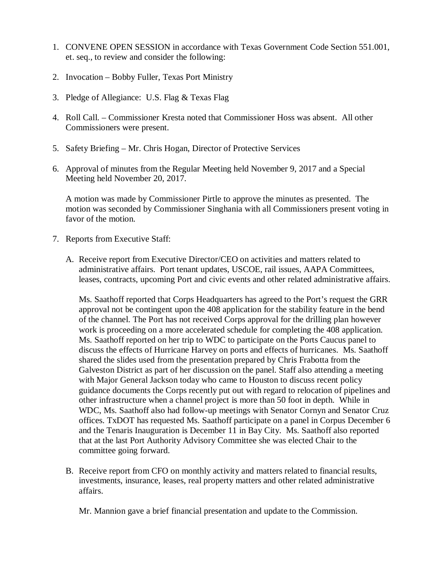- 1. CONVENE OPEN SESSION in accordance with Texas Government Code Section 551.001, et. seq., to review and consider the following:
- 2. Invocation Bobby Fuller, Texas Port Ministry
- 3. Pledge of Allegiance: U.S. Flag & Texas Flag
- 4. Roll Call. Commissioner Kresta noted that Commissioner Hoss was absent. All other Commissioners were present.
- 5. Safety Briefing Mr. Chris Hogan, Director of Protective Services
- 6. Approval of minutes from the Regular Meeting held November 9, 2017 and a Special Meeting held November 20, 2017.

A motion was made by Commissioner Pirtle to approve the minutes as presented. The motion was seconded by Commissioner Singhania with all Commissioners present voting in favor of the motion.

- 7. Reports from Executive Staff:
	- A. Receive report from Executive Director/CEO on activities and matters related to administrative affairs. Port tenant updates, USCOE, rail issues, AAPA Committees, leases, contracts, upcoming Port and civic events and other related administrative affairs.

Ms. Saathoff reported that Corps Headquarters has agreed to the Port's request the GRR approval not be contingent upon the 408 application for the stability feature in the bend of the channel. The Port has not received Corps approval for the drilling plan however work is proceeding on a more accelerated schedule for completing the 408 application. Ms. Saathoff reported on her trip to WDC to participate on the Ports Caucus panel to discuss the effects of Hurricane Harvey on ports and effects of hurricanes. Ms. Saathoff shared the slides used from the presentation prepared by Chris Frabotta from the Galveston District as part of her discussion on the panel. Staff also attending a meeting with Major General Jackson today who came to Houston to discuss recent policy guidance documents the Corps recently put out with regard to relocation of pipelines and other infrastructure when a channel project is more than 50 foot in depth. While in WDC, Ms. Saathoff also had follow-up meetings with Senator Cornyn and Senator Cruz offices. TxDOT has requested Ms. Saathoff participate on a panel in Corpus December 6 and the Tenaris Inauguration is December 11 in Bay City. Ms. Saathoff also reported that at the last Port Authority Advisory Committee she was elected Chair to the committee going forward.

B. Receive report from CFO on monthly activity and matters related to financial results, investments, insurance, leases, real property matters and other related administrative affairs.

Mr. Mannion gave a brief financial presentation and update to the Commission.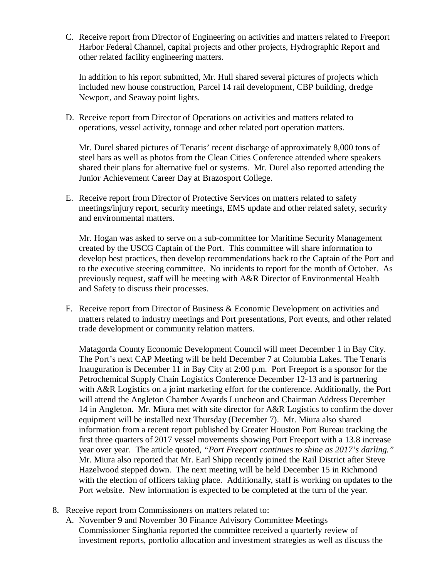C. Receive report from Director of Engineering on activities and matters related to Freeport Harbor Federal Channel, capital projects and other projects, Hydrographic Report and other related facility engineering matters.

In addition to his report submitted, Mr. Hull shared several pictures of projects which included new house construction, Parcel 14 rail development, CBP building, dredge Newport, and Seaway point lights.

D. Receive report from Director of Operations on activities and matters related to operations, vessel activity, tonnage and other related port operation matters.

Mr. Durel shared pictures of Tenaris' recent discharge of approximately 8,000 tons of steel bars as well as photos from the Clean Cities Conference attended where speakers shared their plans for alternative fuel or systems. Mr. Durel also reported attending the Junior Achievement Career Day at Brazosport College.

E. Receive report from Director of Protective Services on matters related to safety meetings/injury report, security meetings, EMS update and other related safety, security and environmental matters.

Mr. Hogan was asked to serve on a sub-committee for Maritime Security Management created by the USCG Captain of the Port. This committee will share information to develop best practices, then develop recommendations back to the Captain of the Port and to the executive steering committee. No incidents to report for the month of October. As previously request, staff will be meeting with A&R Director of Environmental Health and Safety to discuss their processes.

F. Receive report from Director of Business & Economic Development on activities and matters related to industry meetings and Port presentations, Port events, and other related trade development or community relation matters.

Matagorda County Economic Development Council will meet December 1 in Bay City. The Port's next CAP Meeting will be held December 7 at Columbia Lakes. The Tenaris Inauguration is December 11 in Bay City at 2:00 p.m. Port Freeport is a sponsor for the Petrochemical Supply Chain Logistics Conference December 12-13 and is partnering with A&R Logistics on a joint marketing effort for the conference. Additionally, the Port will attend the Angleton Chamber Awards Luncheon and Chairman Address December 14 in Angleton. Mr. Miura met with site director for A&R Logistics to confirm the dover equipment will be installed next Thursday (December 7). Mr. Miura also shared information from a recent report published by Greater Houston Port Bureau tracking the first three quarters of 2017 vessel movements showing Port Freeport with a 13.8 increase year over year. The article quoted, *"Port Freeport continues to shine as 2017's darling."* Mr. Miura also reported that Mr. Earl Shipp recently joined the Rail District after Steve Hazelwood stepped down. The next meeting will be held December 15 in Richmond with the election of officers taking place. Additionally, staff is working on updates to the Port website. New information is expected to be completed at the turn of the year.

- 8. Receive report from Commissioners on matters related to:
	- A. November 9 and November 30 Finance Advisory Committee Meetings Commissioner Singhania reported the committee received a quarterly review of investment reports, portfolio allocation and investment strategies as well as discuss the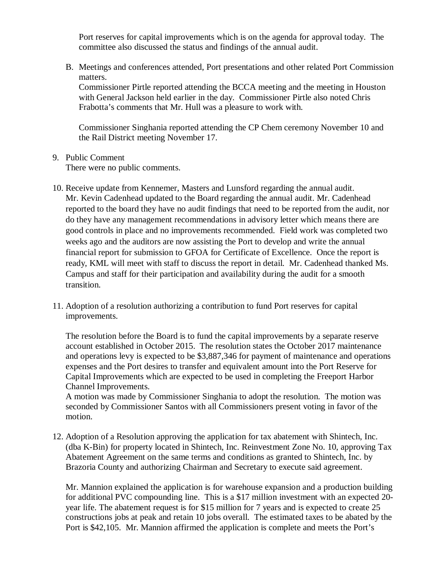Port reserves for capital improvements which is on the agenda for approval today. The committee also discussed the status and findings of the annual audit.

B. Meetings and conferences attended, Port presentations and other related Port Commission matters.

Commissioner Pirtle reported attending the BCCA meeting and the meeting in Houston with General Jackson held earlier in the day. Commissioner Pirtle also noted Chris Frabotta's comments that Mr. Hull was a pleasure to work with.

Commissioner Singhania reported attending the CP Chem ceremony November 10 and the Rail District meeting November 17.

9. Public Comment

There were no public comments.

- 10. Receive update from Kennemer, Masters and Lunsford regarding the annual audit. Mr. Kevin Cadenhead updated to the Board regarding the annual audit. Mr. Cadenhead reported to the board they have no audit findings that need to be reported from the audit, nor do they have any management recommendations in advisory letter which means there are good controls in place and no improvements recommended. Field work was completed two weeks ago and the auditors are now assisting the Port to develop and write the annual financial report for submission to GFOA for Certificate of Excellence. Once the report is ready, KML will meet with staff to discuss the report in detail. Mr. Cadenhead thanked Ms. Campus and staff for their participation and availability during the audit for a smooth transition.
- 11. Adoption of a resolution authorizing a contribution to fund Port reserves for capital improvements.

The resolution before the Board is to fund the capital improvements by a separate reserve account established in October 2015. The resolution states the October 2017 maintenance and operations levy is expected to be \$3,887,346 for payment of maintenance and operations expenses and the Port desires to transfer and equivalent amount into the Port Reserve for Capital Improvements which are expected to be used in completing the Freeport Harbor Channel Improvements.

A motion was made by Commissioner Singhania to adopt the resolution. The motion was seconded by Commissioner Santos with all Commissioners present voting in favor of the motion.

12. Adoption of a Resolution approving the application for tax abatement with Shintech, Inc. (dba K-Bin) for property located in Shintech, Inc. Reinvestment Zone No. 10, approving Tax Abatement Agreement on the same terms and conditions as granted to Shintech, Inc. by Brazoria County and authorizing Chairman and Secretary to execute said agreement.

Mr. Mannion explained the application is for warehouse expansion and a production building for additional PVC compounding line. This is a \$17 million investment with an expected 20 year life. The abatement request is for \$15 million for 7 years and is expected to create 25 constructions jobs at peak and retain 10 jobs overall. The estimated taxes to be abated by the Port is \$42,105. Mr. Mannion affirmed the application is complete and meets the Port's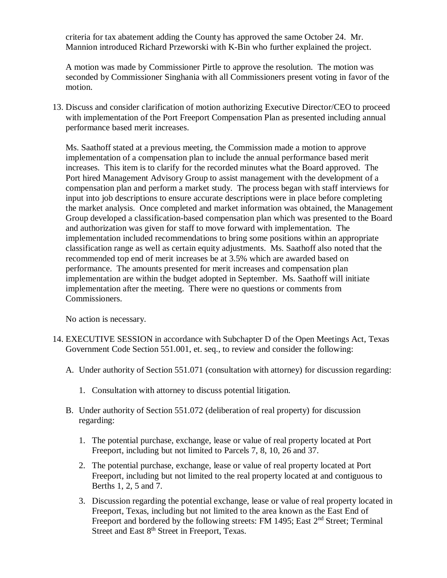criteria for tax abatement adding the County has approved the same October 24. Mr. Mannion introduced Richard Przeworski with K-Bin who further explained the project.

A motion was made by Commissioner Pirtle to approve the resolution. The motion was seconded by Commissioner Singhania with all Commissioners present voting in favor of the motion.

13. Discuss and consider clarification of motion authorizing Executive Director/CEO to proceed with implementation of the Port Freeport Compensation Plan as presented including annual performance based merit increases.

Ms. Saathoff stated at a previous meeting, the Commission made a motion to approve implementation of a compensation plan to include the annual performance based merit increases. This item is to clarify for the recorded minutes what the Board approved. The Port hired Management Advisory Group to assist management with the development of a compensation plan and perform a market study. The process began with staff interviews for input into job descriptions to ensure accurate descriptions were in place before completing the market analysis. Once completed and market information was obtained, the Management Group developed a classification-based compensation plan which was presented to the Board and authorization was given for staff to move forward with implementation. The implementation included recommendations to bring some positions within an appropriate classification range as well as certain equity adjustments. Ms. Saathoff also noted that the recommended top end of merit increases be at 3.5% which are awarded based on performance. The amounts presented for merit increases and compensation plan implementation are within the budget adopted in September. Ms. Saathoff will initiate implementation after the meeting. There were no questions or comments from Commissioners.

No action is necessary.

- 14. EXECUTIVE SESSION in accordance with Subchapter D of the Open Meetings Act, Texas Government Code Section 551.001, et. seq., to review and consider the following:
	- A. Under authority of Section 551.071 (consultation with attorney) for discussion regarding:
		- 1. Consultation with attorney to discuss potential litigation.
	- B. Under authority of Section 551.072 (deliberation of real property) for discussion regarding:
		- 1. The potential purchase, exchange, lease or value of real property located at Port Freeport, including but not limited to Parcels 7, 8, 10, 26 and 37.
		- 2. The potential purchase, exchange, lease or value of real property located at Port Freeport, including but not limited to the real property located at and contiguous to Berths 1, 2, 5 and 7.
		- 3. Discussion regarding the potential exchange, lease or value of real property located in Freeport, Texas, including but not limited to the area known as the East End of Freeport and bordered by the following streets: FM 1495; East 2<sup>nd</sup> Street; Terminal Street and East 8<sup>th</sup> Street in Freeport, Texas.